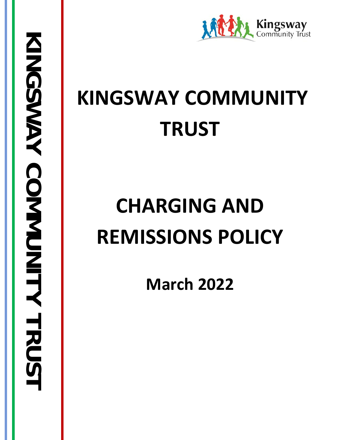

# **KINGSWAY COMMUNITY TRUST**

# **CHARGING AND REMISSIONS POLICY**

**March 2022**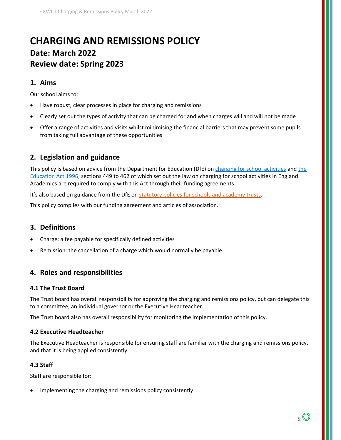# **CHARGING AND REMISSIONS POLICY Date: March 2022 Review date: Spring 2023**

# **1. Aims**

Our school aims to:

- Have robust, clear processes in place for charging and remissions
- Clearly set out the types of activity that can be charged for and when charges will and will not be made
- Offer a range of activities and visits whilst minimising the financial barriers that may prevent some pupils from taking full advantage of these opportunities

# **2. Legislation and guidance**

This policy is based on advice from the Department for Education (DfE) on [charging for school activities](https://www.gov.uk/government/publications/charging-for-school-activities) and the [Education Act 1996,](http://www.legislation.gov.uk/ukpga/1996/56/part/VI/chapter/III) sections 449 to 462 of which set out the law on charging for school activities in England. Academies are required to comply with this Act through their funding agreements.

It's also based on guidance from the DfE on [statutory policies for schools and academy trusts.](https://www.gov.uk/government/publications/statutory-policies-for-schools-and-academy-trusts/statutory-policies-for-schools-and-academy-trusts)

This policy complies with our funding agreement and articles of association.

# **3. Definitions**

- Charge: a fee payable for specifically defined activities
- Remission: the cancellation of a charge which would normally be payable

# **4. Roles and responsibilities**

#### **4.1 The Trust Board**

The Trust board has overall responsibility for approving the charging and remissions policy, but can delegate this to a committee, an individual governor or the Executive Headteacher.

The Trust board also has overall responsibility for monitoring the implementation of this policy.

#### **4.2 Executive Headteacher**

The Executive Headteacher is responsible for ensuring staff are familiar with the charging and remissions policy, and that it is being applied consistently.

#### **4.3 Staff**

Staff are responsible for:

• Implementing the charging and remissions policy consistently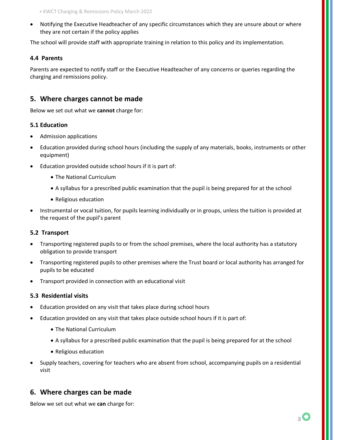• Notifying the Executive Headteacher of any specific circumstances which they are unsure about or where they are not certain if the policy applies

The school will provide staff with appropriate training in relation to this policy and its implementation.

#### **4.4 Parents**

Parents are expected to notify staff or the Executive Headteacher of any concerns or queries regarding the charging and remissions policy.

# **5. Where charges cannot be made**

Below we set out what we **cannot** charge for:

#### **5.1 Education**

- Admission applications
- Education provided during school hours (including the supply of any materials, books, instruments or other equipment)
- Education provided outside school hours if it is part of:
	- The National Curriculum
	- A syllabus for a prescribed public examination that the pupil is being prepared for at the school
	- Religious education
- Instrumental or vocal tuition, for pupils learning individually or in groups, unless the tuition is provided at the request of the pupil's parent

#### **5.2 Transport**

- Transporting registered pupils to or from the school premises, where the local authority has a statutory obligation to provide transport
- Transporting registered pupils to other premises where the Trust board or local authority has arranged for pupils to be educated
- Transport provided in connection with an educational visit

#### **5.3 Residential visits**

- Education provided on any visit that takes place during school hours
- Education provided on any visit that takes place outside school hours if it is part of:
	- The National Curriculum
	- A syllabus for a prescribed public examination that the pupil is being prepared for at the school
	- Religious education
- Supply teachers, covering for teachers who are absent from school, accompanying pupils on a residential visit

# **6. Where charges can be made**

Below we set out what we **can** charge for: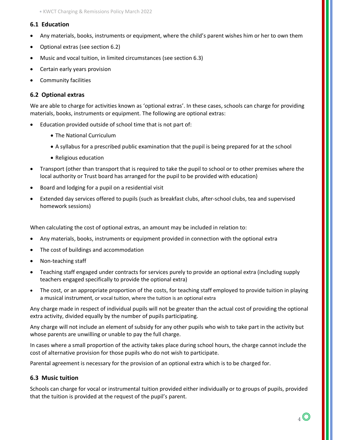#### **6.1 Education**

- Any materials, books, instruments or equipment, where the child's parent wishes him or her to own them
- Optional extras (see section 6.2)
- Music and vocal tuition, in limited circumstances (see section 6.3)
- Certain early years provision
- Community facilities

#### **6.2 Optional extras**

We are able to charge for activities known as 'optional extras'. In these cases, schools can charge for providing materials, books, instruments or equipment. The following are optional extras:

- Education provided outside of school time that is not part of:
	- The National Curriculum
	- A syllabus for a prescribed public examination that the pupil is being prepared for at the school
	- Religious education
- Transport (other than transport that is required to take the pupil to school or to other premises where the local authority or Trust board has arranged for the pupil to be provided with education)
- Board and lodging for a pupil on a residential visit
- Extended day services offered to pupils (such as breakfast clubs, after-school clubs, tea and supervised homework sessions)

When calculating the cost of optional extras, an amount may be included in relation to:

- Any materials, books, instruments or equipment provided in connection with the optional extra
- The cost of buildings and accommodation
- Non-teaching staff
- Teaching staff engaged under contracts for services purely to provide an optional extra (including supply teachers engaged specifically to provide the optional extra)
- The cost, or an appropriate proportion of the costs, for teaching staff employed to provide tuition in playing a musical instrument, or vocal tuition, where the tuition is an optional extra

Any charge made in respect of individual pupils will not be greater than the actual cost of providing the optional extra activity, divided equally by the number of pupils participating.

Any charge will not include an element of subsidy for any other pupils who wish to take part in the activity but whose parents are unwilling or unable to pay the full charge.

In cases where a small proportion of the activity takes place during school hours, the charge cannot include the cost of alternative provision for those pupils who do not wish to participate.

Parental agreement is necessary for the provision of an optional extra which is to be charged for.

#### **6.3 Music tuition**

Schools can charge for vocal or instrumental tuition provided either individually or to groups of pupils, provided that the tuition is provided at the request of the pupil's parent.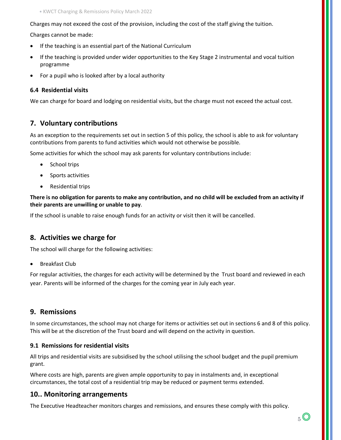Charges may not exceed the cost of the provision, including the cost of the staff giving the tuition.

Charges cannot be made:

- If the teaching is an essential part of the National Curriculum
- If the teaching is provided under wider opportunities to the Key Stage 2 instrumental and vocal tuition programme
- For a pupil who is looked after by a local authority

#### **6.4 Residential visits**

We can charge for board and lodging on residential visits, but the charge must not exceed the actual cost.

# **7. Voluntary contributions**

As an exception to the requirements set out in section 5 of this policy, the school is able to ask for voluntary contributions from parents to fund activities which would not otherwise be possible.

Some activities for which the school may ask parents for voluntary contributions include:

- School trips
- Sports activities
- Residential trips

**There is no obligation for parents to make any contribution, and no child will be excluded from an activity if their parents are unwilling or unable to pay**.

If the school is unable to raise enough funds for an activity or visit then it will be cancelled.

# **8. Activities we charge for**

The school will charge for the following activities:

• Breakfast Club

For regular activities, the charges for each activity will be determined by the Trust board and reviewed in each year. Parents will be informed of the charges for the coming year in July each year.

### **9. Remissions**

In some circumstances, the school may not charge for items or activities set out in sections 6 and 8 of this policy. This will be at the discretion of the Trust board and will depend on the activity in question.

#### **9.1 Remissions for residential visits**

All trips and residential visits are subsidised by the school utilising the school budget and the pupil premium grant.

Where costs are high, parents are given ample opportunity to pay in instalments and, in exceptional circumstances, the total cost of a residential trip may be reduced or payment terms extended.

#### **10.. Monitoring arrangements**

The Executive Headteacher monitors charges and remissions, and ensures these comply with this policy.